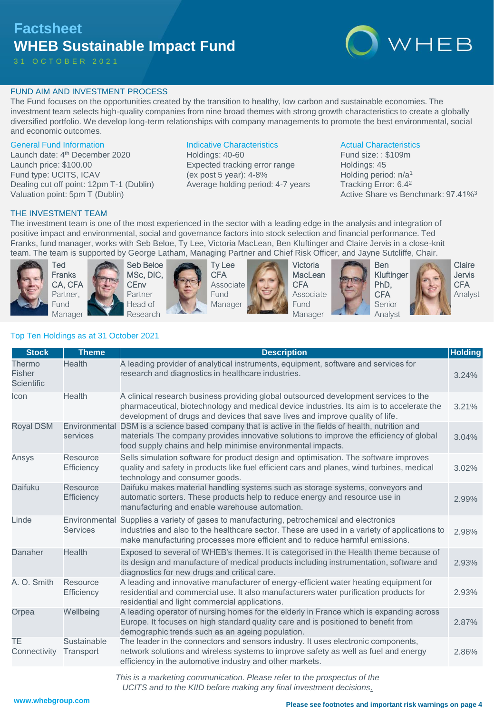# **Factsheet WHEB Sustainable Impact Fund**

3 1 O C T O B E R 2 0 2 1



# FUND AIM AND INVESTMENT PROCESS

The Fund focuses on the opportunities created by the transition to healthy, low carbon and sustainable economies. The investment team selects high-quality companies from nine broad themes with strong growth characteristics to create a globally diversified portfolio. We develop long-term relationships with company managements to promote the best environmental, social and economic outcomes.

# General Fund Information

Launch date: 4<sup>th</sup> December 2020 Launch price: \$100.00 Fund type: UCITS, ICAV Dealing cut off point: 12pm T-1 (Dublin) Valuation point: 5pm T (Dublin)

# Indicative Characteristics

Holdings: 40-60 Expected tracking error range (ex post 5 year): 4-8% Average holding period: 4-7 years

# Actual Characteristics

Fund size: : \$109m Holdings: 45 Holding period: n/a<sup>1</sup> Tracking Error: 6.4<sup>2</sup> Active Share vs Benchmark: 97.41%<sup>3</sup>

# THE INVESTMENT TEAM

The investment team is one of the most experienced in the sector with a leading edge in the analysis and integration of positive impact and environmental, social and governance factors into stock selection and financial performance. Ted Franks, fund manager, works with Seb Beloe, Ty Lee, Victoria MacLean, Ben Kluftinger and Claire Jervis in a close-knit team. The team is supported by George Latham, Managing Partner and Chief Risk Officer, and Jayne Sutcliffe, Chair.



Ted Franks CA, CFA Partner, Fund Manager





Ty Lee CFA Associate Fund Manager



Victoria **MacLean CFA** Associate Fund Manager





Ben Kluftinger PhD, **CFA** Senior Analyst



Claire Jervis **CFA** Analyst

# Top Ten Holdings as at 31 October 2021

| <b>Stock</b>                          | <b>Theme</b>              | <b>Description</b>                                                                                                                                                                                                                                                        | <b>Holding</b> |
|---------------------------------------|---------------------------|---------------------------------------------------------------------------------------------------------------------------------------------------------------------------------------------------------------------------------------------------------------------------|----------------|
| Thermo<br><b>Fisher</b><br>Scientific | Health                    | A leading provider of analytical instruments, equipment, software and services for<br>research and diagnostics in healthcare industries.                                                                                                                                  | 3.24%          |
| Icon                                  | Health                    | A clinical research business providing global outsourced development services to the<br>pharmaceutical, biotechnology and medical device industries. Its aim is to accelerate the<br>development of drugs and devices that save lives and improve quality of life.        | 3.21%          |
| <b>Royal DSM</b>                      | Environmental<br>services | DSM is a science based company that is active in the fields of health, nutrition and<br>materials The company provides innovative solutions to improve the efficiency of global<br>food supply chains and help minimise environmental impacts.                            | 3.04%          |
| Ansys                                 | Resource<br>Efficiency    | Sells simulation software for product design and optimisation. The software improves<br>quality and safety in products like fuel efficient cars and planes, wind turbines, medical<br>technology and consumer goods.                                                      | 3.02%          |
| Daifuku                               | Resource<br>Efficiency    | Daifuku makes material handling systems such as storage systems, conveyors and<br>automatic sorters. These products help to reduce energy and resource use in<br>manufacturing and enable warehouse automation.                                                           | 2.99%          |
| Linde                                 | <b>Services</b>           | Environmental Supplies a variety of gases to manufacturing, petrochemical and electronics<br>industries and also to the healthcare sector. These are used in a variety of applications to<br>make manufacturing processes more efficient and to reduce harmful emissions. | 2.98%          |
| Danaher                               | Health                    | Exposed to several of WHEB's themes. It is categorised in the Health theme because of<br>its design and manufacture of medical products including instrumentation, software and<br>diagnostics for new drugs and critical care.                                           | 2.93%          |
| A. O. Smith                           | Resource<br>Efficiency    | A leading and innovative manufacturer of energy-efficient water heating equipment for<br>residential and commercial use. It also manufacturers water purification products for<br>residential and light commercial applications.                                          | 2.93%          |
| Orpea                                 | Wellbeing                 | A leading operator of nursing homes for the elderly in France which is expanding across<br>Europe. It focuses on high standard quality care and is positioned to benefit from<br>demographic trends such as an ageing population.                                         | 2.87%          |
| TE.<br>Connectivity                   | Sustainable<br>Transport  | The leader in the connectors and sensors industry. It uses electronic components,<br>network solutions and wireless systems to improve safety as well as fuel and energy<br>efficiency in the automotive industry and other markets.                                      | 2.86%          |

*This is a marketing communication. Please refer to the prospectus of the UCITS and to the KIID before making any final investment decisions.*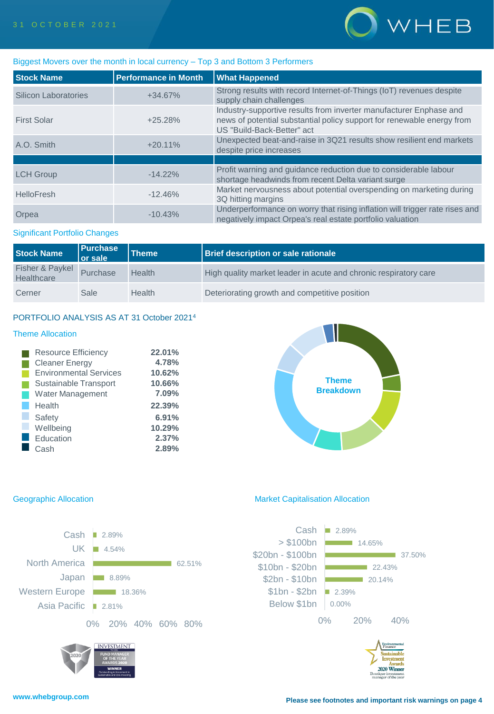

# Biggest Movers over the month in local currency – Top 3 and Bottom 3 Performers

| <b>Stock Name</b>    | <b>Performance in Month</b> | <b>What Happened</b>                                                                                                                                                       |
|----------------------|-----------------------------|----------------------------------------------------------------------------------------------------------------------------------------------------------------------------|
| Silicon Laboratories | $+34.67%$                   | Strong results with record Internet-of-Things (IoT) revenues despite<br>supply chain challenges                                                                            |
| <b>First Solar</b>   | $+25.28%$                   | Industry-supportive results from inverter manufacturer Enphase and<br>news of potential substantial policy support for renewable energy from<br>US "Build-Back-Better" act |
| A.O. Smith           | $+20.11%$                   | Unexpected beat-and-raise in 3Q21 results show resilient end markets<br>despite price increases                                                                            |
|                      |                             |                                                                                                                                                                            |
| <b>LCH Group</b>     | $-14.22%$                   | Profit warning and guidance reduction due to considerable labour<br>shortage headwinds from recent Delta variant surge                                                     |
| HelloFresh           | $-12.46%$                   | Market nervousness about potential overspending on marketing during<br>3Q hitting margins                                                                                  |
| Orpea                | $-10.43%$                   | Underperformance on worry that rising inflation will trigger rate rises and<br>negatively impact Orpea's real estate portfolio valuation                                   |

# Significant Portfolio Changes

| <b>Stock Name</b>             | <b>Purchase</b><br><b>Or sale</b> | Theme         | <b>Brief description or sale rationale</b>                       |
|-------------------------------|-----------------------------------|---------------|------------------------------------------------------------------|
| Fisher & Paykel<br>Healthcare | Purchase                          | Health        | High quality market leader in acute and chronic respiratory care |
| Cerner                        | Sale                              | <b>Health</b> | Deteriorating growth and competitive position                    |

# PORTFOLIO ANALYSIS AS AT 31 October 2021<sup>4</sup>

# Theme Allocation

| <b>Resource Efficiency</b>    | 22.01% |
|-------------------------------|--------|
| <b>Cleaner Energy</b>         | 4.78%  |
| <b>Environmental Services</b> | 10.62% |
| Sustainable Transport         | 10.66% |
| <b>Water Management</b>       | 7.09%  |
| Health                        | 22.39% |
| Safety                        | 6.91%  |
| Wellbeing                     | 10.29% |
| Education                     | 2.37%  |
| Cash                          | 2.89%  |

# **Theme Breakdown**



# Geographic Allocation **Market Capitalisation Allocation** Market Capitalisation Allocation



2020 Winner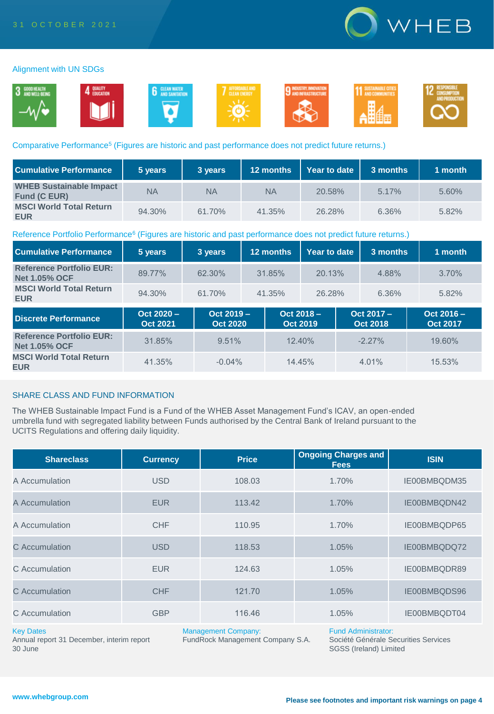

# Alignment with UN SDGs



# Comparative Performance<sup>5</sup> (Figures are historic and past performance does not predict future returns.)

| <b>Cumulative Performance</b>                         | 5 years   | 3 years | 12 months | Year to date | 3 months | 1 month |
|-------------------------------------------------------|-----------|---------|-----------|--------------|----------|---------|
| <b>WHEB Sustainable Impact</b><br><b>Fund (C EUR)</b> | <b>NA</b> | NA      | <b>NA</b> | 20.58%       | 5.17%    | 5.60%   |
| <b>MSCI World Total Return</b><br><b>EUR</b>          | 94.30%    | 61.70%  | 41.35%    | 26.28%       | 6.36%    | 5.82%   |

# Reference Portfolio Performance<sup>6</sup> (Figures are historic and past performance does not predict future returns.)

| <b>Cumulative Performance</b>                           | 5 years                         | 3 years                         | 12 months                       | Year to date | 3 months                      | 1 month                         |
|---------------------------------------------------------|---------------------------------|---------------------------------|---------------------------------|--------------|-------------------------------|---------------------------------|
| <b>Reference Portfolio EUR:</b><br><b>Net 1.05% OCF</b> | 89.77%                          | 62.30%                          | 31.85%                          | 20.13%       | 4.88%                         | 3.70%                           |
| <b>MSCI World Total Return</b><br><b>EUR</b>            | 94.30%                          | 61.70%                          | 41.35%                          | 26.28%       | 6.36%                         | 5.82%                           |
| <b>Discrete Performance</b>                             | $Oct 2020 -$<br><b>Oct 2021</b> | $Oct 2019 -$<br><b>Oct 2020</b> | $Oct 2018 -$<br><b>Oct 2019</b> |              | Oct 2017 -<br><b>Oct 2018</b> | $Oct 2016 -$<br><b>Oct 2017</b> |
| <b>Reference Portfolio EUR:</b><br><b>Net 1.05% OCF</b> | 31.85%                          | 9.51%                           | $12.40\%$                       |              | $-2.27\%$                     | 19.60%                          |
| <b>MSCI World Total Return</b><br><b>EUR</b>            | 41.35%                          | $-0.04%$                        | 14.45%                          |              | $4.01\%$                      | 15.53%                          |

# SHARE CLASS AND FUND INFORMATION

The WHEB Sustainable Impact Fund is a Fund of the WHEB Asset Management Fund's ICAV, an open-ended umbrella fund with segregated liability between Funds authorised by the Central Bank of Ireland pursuant to the UCITS Regulations and offering daily liquidity.

| <b>Shareclass</b> | <b>Currency</b> | <b>Price</b> | <b>Ongoing Charges and</b><br><b>Fees</b> | <b>ISIN</b>  |
|-------------------|-----------------|--------------|-------------------------------------------|--------------|
| A Accumulation    | <b>USD</b>      | 108.03       | 1.70%                                     | IE00BMBQDM35 |
| A Accumulation    | <b>EUR</b>      | 113.42       | 1.70%                                     | IE00BMBQDN42 |
| A Accumulation    | <b>CHF</b>      | 110.95       | 1.70%                                     | IE00BMBQDP65 |
| C Accumulation    | <b>USD</b>      | 118.53       | 1.05%                                     | IE00BMBQDQ72 |
| C Accumulation    | <b>EUR</b>      | 124.63       | 1.05%                                     | IE00BMBQDR89 |
| C Accumulation    | <b>CHF</b>      | 121.70       | 1.05%                                     | IE00BMBQDS96 |
| C Accumulation    | <b>GBP</b>      | 116.46       | 1.05%                                     | IE00BMBQDT04 |

## Key Dates

Annual report 31 December, interim report 30 June

Management Company:

FundRock Management Company S.A.

Fund Administrator:

Société Générale Securities Services SGSS (Ireland) Limited